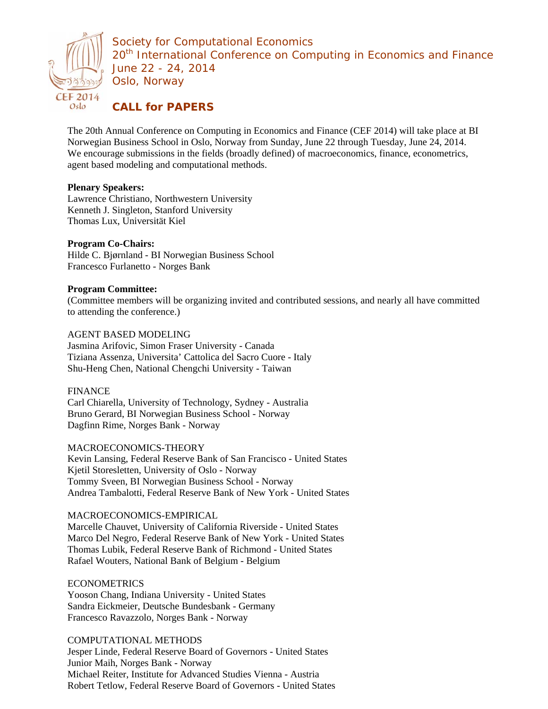

Society for Computational Economics 20<sup>th</sup> International Conference on Computing in Economics and Finance June 22 - 24, 2014 Oslo, Norway

**CALL for PAPERS** 

The 20th Annual Conference on Computing in Economics and Finance (CEF 2014) will take place at BI Norwegian Business School in Oslo, Norway from Sunday, June 22 through Tuesday, June 24, 2014. We encourage submissions in the fields (broadly defined) of macroeconomics, finance, econometrics, agent based modeling and computational methods.

### **Plenary Speakers:**

Lawrence Christiano, Northwestern University Kenneth J. Singleton, Stanford University Thomas Lux, Universität Kiel

## **Program Co-Chairs:**

Hilde C. Bjørnland - BI Norwegian Business School Francesco Furlanetto - Norges Bank

### **Program Committee:**

(Committee members will be organizing invited and contributed sessions, and nearly all have committed to attending the conference.)

## AGENT BASED MODELING

Jasmina Arifovic, Simon Fraser University - Canada Tiziana Assenza, Universita' Cattolica del Sacro Cuore - Italy Shu-Heng Chen, National Chengchi University - Taiwan

# FINANCE

Carl Chiarella, University of Technology, Sydney - Australia Bruno Gerard, BI Norwegian Business School - Norway Dagfinn Rime, Norges Bank - Norway

### MACROECONOMICS-THEORY

Kevin Lansing, Federal Reserve Bank of San Francisco - United States Kjetil Storesletten, University of Oslo - Norway Tommy Sveen, BI Norwegian Business School - Norway Andrea Tambalotti, Federal Reserve Bank of New York - United States

### MACROECONOMICS-EMPIRICAL

Marcelle Chauvet, University of California Riverside - United States Marco Del Negro, Federal Reserve Bank of New York - United States Thomas Lubik, Federal Reserve Bank of Richmond - United States Rafael Wouters, National Bank of Belgium - Belgium

# ECONOMETRICS

Yooson Chang, Indiana University - United States Sandra Eickmeier, Deutsche Bundesbank - Germany Francesco Ravazzolo, Norges Bank - Norway

# COMPUTATIONAL METHODS

Jesper Linde, Federal Reserve Board of Governors - United States Junior Maih, Norges Bank - Norway Michael Reiter, Institute for Advanced Studies Vienna - Austria Robert Tetlow, Federal Reserve Board of Governors - United States